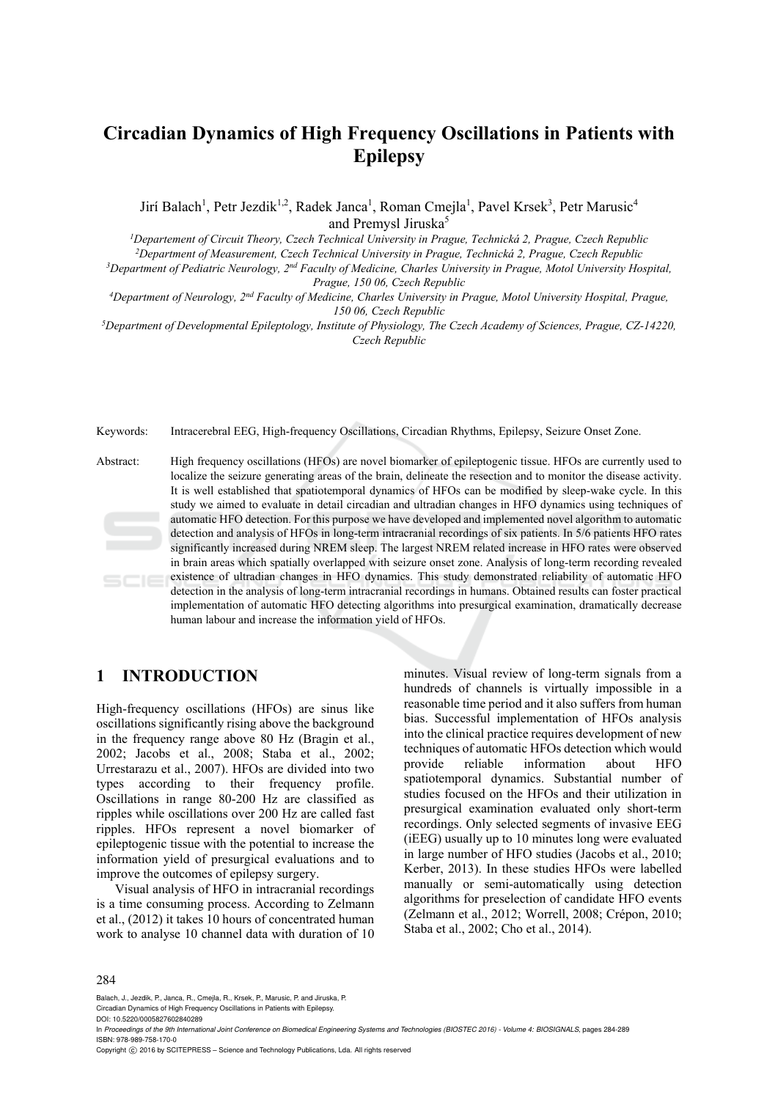# **Circadian Dynamics of High Frequency Oscillations in Patients with Epilepsy**

Jirí Balach<sup>1</sup>, Petr Jezdik<sup>1,2</sup>, Radek Janca<sup>1</sup>, Roman Cmejla<sup>1</sup>, Pavel Krsek<sup>3</sup>, Petr Marusic<sup>4</sup> and Premysl Jiruska<sup>5</sup>

<sup>1</sup>Departement of Circuit Theory, Czech Technical University in Prague, Technická 2, Prague, Czech Republic

<sup>2</sup>Department of Measurement, Czech Technical University in Prague, Technická 2, Prague, Czech Republic<br><sup>3</sup>Department of Pediatric Neurology, 2<sup>nd</sup> Faculty of Medicine, Charles University in Prague, Motol University Hospi

*Prague, 150 06, Czech Republic*<br><sup>4</sup>Department of Neurology, 2<sup>nd</sup> Faculty of Medicine, Charles University in Prague, Motol University Hospital, Prague,

*150 06, Czech Republic 5Department of Developmental Epileptology, Institute of Physiology, The Czech Academy of Sciences, Prague, CZ-14220,* 

*Czech Republic* 

Keywords: Intracerebral EEG, High-frequency Oscillations, Circadian Rhythms, Epilepsy, Seizure Onset Zone.

Abstract: High frequency oscillations (HFOs) are novel biomarker of epileptogenic tissue. HFOs are currently used to localize the seizure generating areas of the brain, delineate the resection and to monitor the disease activity. It is well established that spatiotemporal dynamics of HFOs can be modified by sleep-wake cycle. In this study we aimed to evaluate in detail circadian and ultradian changes in HFO dynamics using techniques of automatic HFO detection. For this purpose we have developed and implemented novel algorithm to automatic detection and analysis of HFOs in long-term intracranial recordings of six patients. In 5/6 patients HFO rates significantly increased during NREM sleep. The largest NREM related increase in HFO rates were observed in brain areas which spatially overlapped with seizure onset zone. Analysis of long-term recording revealed existence of ultradian changes in HFO dynamics. This study demonstrated reliability of automatic HFO  $SCIE$ detection in the analysis of long-term intracranial recordings in humans. Obtained results can foster practical implementation of automatic HFO detecting algorithms into presurgical examination, dramatically decrease human labour and increase the information yield of HFOs.

## **1 INTRODUCTION**

High-frequency oscillations (HFOs) are sinus like oscillations significantly rising above the background in the frequency range above 80 Hz (Bragin et al., 2002; Jacobs et al., 2008; Staba et al., 2002; Urrestarazu et al., 2007). HFOs are divided into two types according to their frequency profile. Oscillations in range 80-200 Hz are classified as ripples while oscillations over 200 Hz are called fast ripples. HFOs represent a novel biomarker of epileptogenic tissue with the potential to increase the information yield of presurgical evaluations and to improve the outcomes of epilepsy surgery.

Visual analysis of HFO in intracranial recordings is a time consuming process. According to Zelmann et al., (2012) it takes 10 hours of concentrated human work to analyse 10 channel data with duration of 10

minutes. Visual review of long-term signals from a hundreds of channels is virtually impossible in a reasonable time period and it also suffers from human bias. Successful implementation of HFOs analysis into the clinical practice requires development of new techniques of automatic HFOs detection which would provide reliable information about HFO spatiotemporal dynamics. Substantial number of studies focused on the HFOs and their utilization in presurgical examination evaluated only short-term recordings. Only selected segments of invasive EEG (iEEG) usually up to 10 minutes long were evaluated in large number of HFO studies (Jacobs et al., 2010; Kerber, 2013). In these studies HFOs were labelled manually or semi-automatically using detection algorithms for preselection of candidate HFO events (Zelmann et al., 2012; Worrell, 2008; Crépon, 2010; Staba et al., 2002; Cho et al., 2014).

284

Balach, J., Jezdik, P., Janca, R., Cmejla, R., Krsek, P., Marusic, P. and Jiruska, P.

Circadian Dynamics of High Frequency Oscillations in Patients with Epilepsy.

DOI: 10.5220/0005827602840289

In *Proceedings of the 9th International Joint Conference on Biomedical Engineering Systems and Technologies (BIOSTEC 2016) - Volume 4: BIOSIGNALS*, pages 284-289 ISBN: 978-989-758-170-0

Copyright © 2016 by SCITEPRESS - Science and Technology Publications, Lda. All rights reserved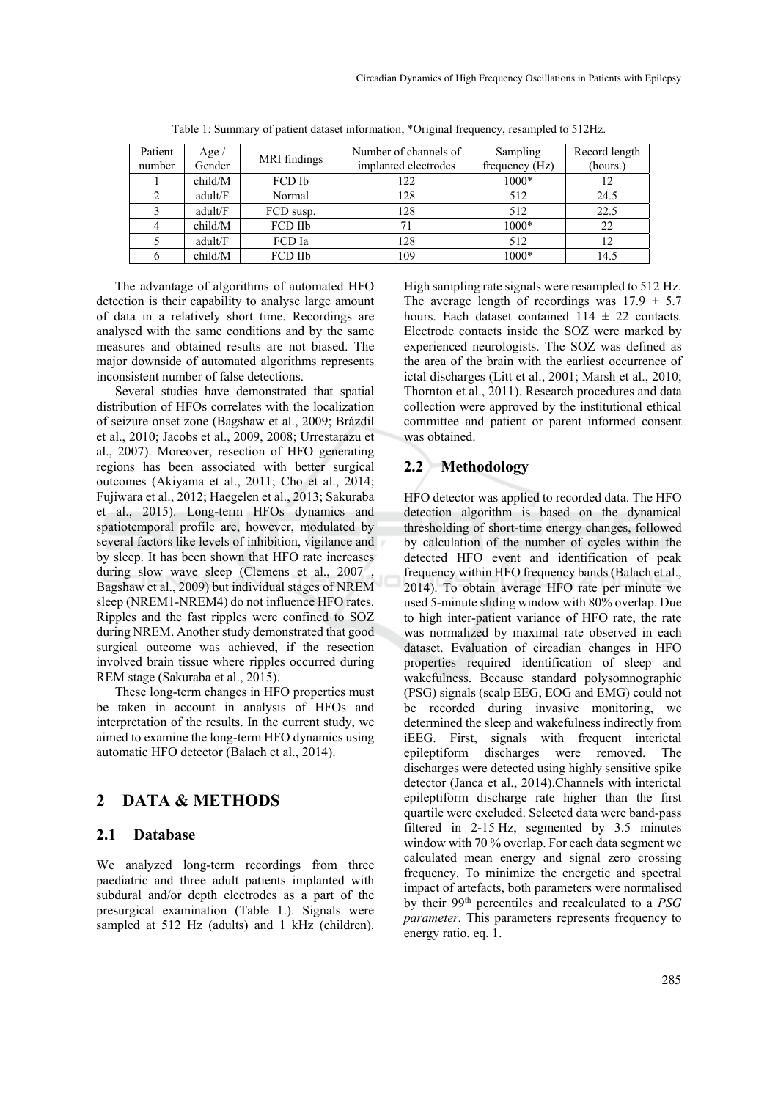| Patient<br>number | Age $/$<br>Gender | MRI findings | Number of channels of<br>implanted electrodes | Sampling<br>frequency (Hz) | Record length<br>(hours.) |
|-------------------|-------------------|--------------|-----------------------------------------------|----------------------------|---------------------------|
|                   | child/M           | FCD Ib       | 122                                           | 1000*                      | 12                        |
|                   |                   |              |                                               |                            |                           |
|                   | adult/F           | Normal       | 128                                           | 512                        | 24.5                      |
|                   | adult/F           | FCD susp.    | 128                                           | 512                        | 22.5                      |
|                   | child/M           | FCD IIb      |                                               | 1000*                      | 22                        |
|                   | adult/F           | FCD Ia       | 128                                           | 512                        | 12                        |
| h                 | child/M           | FCD IIb      | 109                                           | 1000*                      | 14.5                      |

Table 1: Summary of patient dataset information; \*Original frequency, resampled to 512Hz.

The advantage of algorithms of automated HFO detection is their capability to analyse large amount of data in a relatively short time. Recordings are analysed with the same conditions and by the same measures and obtained results are not biased. The major downside of automated algorithms represents inconsistent number of false detections.

Several studies have demonstrated that spatial distribution of HFOs correlates with the localization of seizure onset zone (Bagshaw et al., 2009; Brázdil et al., 2010; Jacobs et al., 2009, 2008; Urrestarazu et al., 2007). Moreover, resection of HFO generating regions has been associated with better surgical outcomes (Akiyama et al., 2011; Cho et al., 2014; Fujiwara et al., 2012; Haegelen et al., 2013; Sakuraba et al., 2015). Long-term HFOs dynamics and spatiotemporal profile are, however, modulated by several factors like levels of inhibition, vigilance and by sleep. It has been shown that HFO rate increases during slow wave sleep (Clemens et al., 2007) Bagshaw et al., 2009) but individual stages of NREM sleep (NREM1-NREM4) do not influence HFO rates. Ripples and the fast ripples were confined to SOZ during NREM. Another study demonstrated that good surgical outcome was achieved, if the resection involved brain tissue where ripples occurred during REM stage (Sakuraba et al., 2015).

These long-term changes in HFO properties must be taken in account in analysis of HFOs and interpretation of the results. In the current study, we aimed to examine the long-term HFO dynamics using automatic HFO detector (Balach et al., 2014).

### **2 DATA & METHODS**

#### **2.1 Database**

We analyzed long-term recordings from three paediatric and three adult patients implanted with subdural and/or depth electrodes as a part of the presurgical examination (Table 1.). Signals were sampled at 512 Hz (adults) and 1 kHz (children). High sampling rate signals were resampled to 512 Hz. The average length of recordings was  $17.9 \pm 5.7$ hours. Each dataset contained  $114 \pm 22$  contacts. Electrode contacts inside the SOZ were marked by experienced neurologists. The SOZ was defined as the area of the brain with the earliest occurrence of ictal discharges (Litt et al., 2001; Marsh et al., 2010; Thornton et al., 2011). Research procedures and data collection were approved by the institutional ethical committee and patient or parent informed consent was obtained.

### **2.2 Methodology**

HFO detector was applied to recorded data. The HFO detection algorithm is based on the dynamical thresholding of short-time energy changes, followed by calculation of the number of cycles within the detected HFO event and identification of peak frequency within HFO frequency bands (Balach et al., 2014). To obtain average HFO rate per minute we used 5-minute sliding window with 80% overlap. Due to high inter-patient variance of HFO rate, the rate was normalized by maximal rate observed in each dataset. Evaluation of circadian changes in HFO properties required identification of sleep and wakefulness. Because standard polysomnographic (PSG) signals (scalp EEG, EOG and EMG) could not be recorded during invasive monitoring, we determined the sleep and wakefulness indirectly from iEEG. First, signals with frequent interictal epileptiform discharges were removed. The discharges were detected using highly sensitive spike detector (Janca et al., 2014).Channels with interictal epileptiform discharge rate higher than the first quartile were excluded. Selected data were band-pass filtered in 2-15 Hz, segmented by 3.5 minutes window with 70 % overlap. For each data segment we calculated mean energy and signal zero crossing frequency. To minimize the energetic and spectral impact of artefacts, both parameters were normalised by their 99th percentiles and recalculated to a *PSG parameter.* This parameters represents frequency to energy ratio, eq. 1.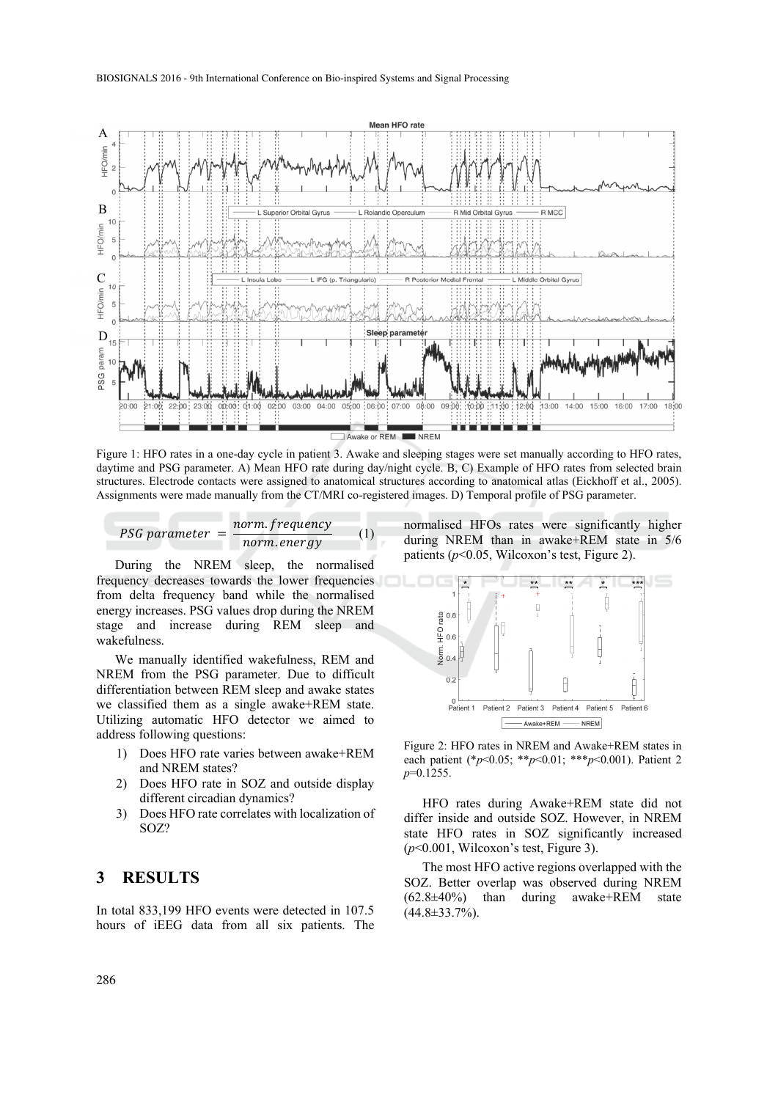

Figure 1: HFO rates in a one-day cycle in patient 3. Awake and sleeping stages were set manually according to HFO rates, daytime and PSG parameter. A) Mean HFO rate during day/night cycle. B, C) Example of HFO rates from selected brain structures. Electrode contacts were assigned to anatomical structures according to anatomical atlas (Eickhoff et al., 2005). Assignments were made manually from the CT/MRI co-registered images. D) Temporal profile of PSG parameter.

$$
PSG parameter = \frac{norm. frequency}{norm. energy}
$$
 (1)

During the NREM sleep, the normalised frequency decreases towards the lower frequencies from delta frequency band while the normalised energy increases. PSG values drop during the NREM stage and increase during REM sleep and wakefulness.

We manually identified wakefulness, REM and NREM from the PSG parameter. Due to difficult differentiation between REM sleep and awake states we classified them as a single awake+REM state. Utilizing automatic HFO detector we aimed to address following questions:

- 1) Does HFO rate varies between awake+REM and NREM states?
- 2) Does HFO rate in SOZ and outside display different circadian dynamics?
- 3) Does HFO rate correlates with localization of SOZ?

#### **3 RESULTS**

In total 833,199 HFO events were detected in 107.5 hours of iEEG data from all six patients. The normalised HFOs rates were significantly higher during NREM than in awake+REM state in 5/6 patients (*p*<0.05, Wilcoxon's test, Figure 2).



Figure 2: HFO rates in NREM and Awake+REM states in each patient (\**p*<0.05; \*\**p*<0.01; \*\*\**p*<0.001). Patient 2 *p*=0.1255.

HFO rates during Awake+REM state did not differ inside and outside SOZ. However, in NREM state HFO rates in SOZ significantly increased (*p*<0.001, Wilcoxon's test, Figure 3).

The most HFO active regions overlapped with the SOZ. Better overlap was observed during NREM (62.8±40%) than during awake+REM state  $(44.8 \pm 33.7\%)$ .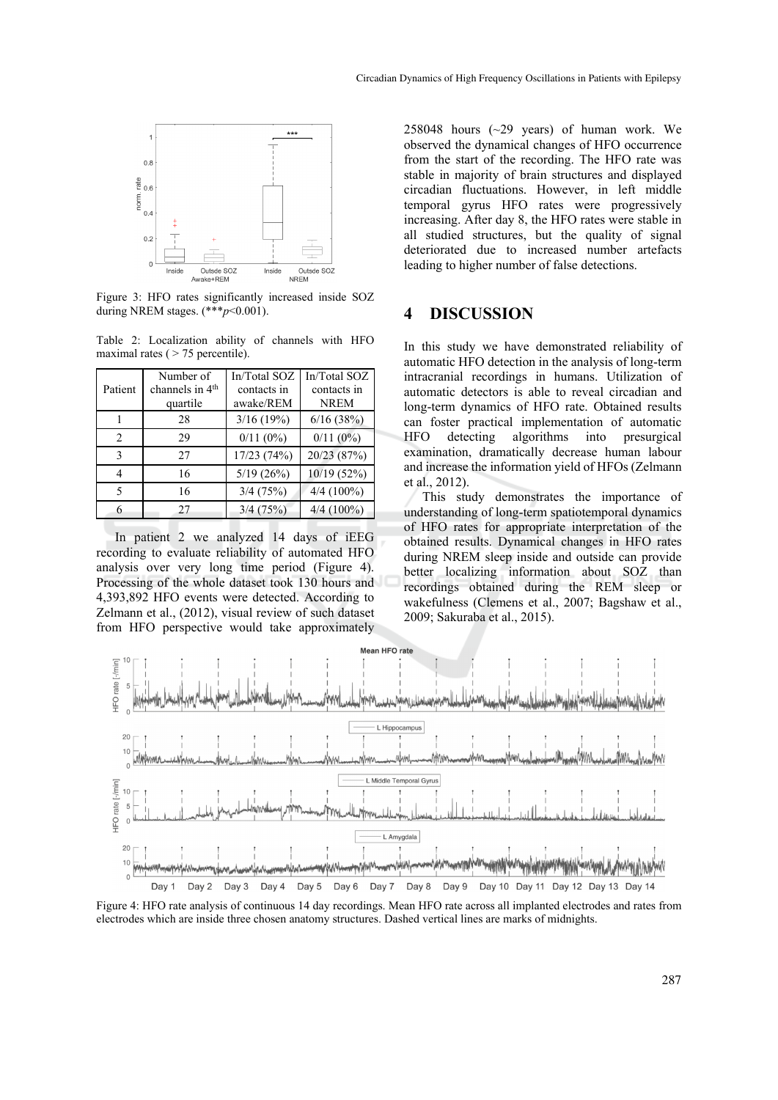

Figure 3: HFO rates significantly increased inside SOZ during NREM stages. (\*\*\**p*<0.001).

Table 2: Localization ability of channels with HFO maximal rates ( $> 75$  percentile).

| Patient       | Number of<br>channels in 4 <sup>th</sup><br>quartile | In/Total SOZ<br>contacts in<br>awake/REM | In/Total SOZ<br>contacts in<br><b>NREM</b> |
|---------------|------------------------------------------------------|------------------------------------------|--------------------------------------------|
|               | 28                                                   | 3/16(19%)                                | 6/16(38%)                                  |
| $\mathcal{D}$ | 29                                                   | 0/11(0%)                                 | 0/11(0%)                                   |
| 3             | 27                                                   | 17/23 (74%)                              | 20/23 (87%)                                |
| 4             | 16                                                   | 5/19(26%)                                | 10/19 (52%)                                |
| $\varsigma$   | 16                                                   | $3/4$ (75%)                              | $4/4(100\%)$                               |
| 6             | 27                                                   | 3/4(75%)                                 | $4/4(100\%)$                               |

In patient 2 we analyzed 14 days of iEEG recording to evaluate reliability of automated HFO analysis over very long time period (Figure 4). Processing of the whole dataset took 130 hours and 4,393,892 HFO events were detected. According to Zelmann et al., (2012), visual review of such dataset from HFO perspective would take approximately

258048 hours  $(\sim 29$  years) of human work. We observed the dynamical changes of HFO occurrence from the start of the recording. The HFO rate was stable in majority of brain structures and displayed circadian fluctuations. However, in left middle temporal gyrus HFO rates were progressively increasing. After day 8, the HFO rates were stable in all studied structures, but the quality of signal deteriorated due to increased number artefacts leading to higher number of false detections.

### **4 DISCUSSION**

In this study we have demonstrated reliability of automatic HFO detection in the analysis of long-term intracranial recordings in humans. Utilization of automatic detectors is able to reveal circadian and long-term dynamics of HFO rate. Obtained results can foster practical implementation of automatic HFO detecting algorithms into presurgical examination, dramatically decrease human labour and increase the information yield of HFOs (Zelmann et al., 2012).

This study demonstrates the importance of understanding of long-term spatiotemporal dynamics of HFO rates for appropriate interpretation of the obtained results. Dynamical changes in HFO rates during NREM sleep inside and outside can provide better localizing information about SOZ than recordings obtained during the REM sleep or wakefulness (Clemens et al., 2007; Bagshaw et al., 2009; Sakuraba et al., 2015).



Figure 4: HFO rate analysis of continuous 14 day recordings. Mean HFO rate across all implanted electrodes and rates from electrodes which are inside three chosen anatomy structures. Dashed vertical lines are marks of midnights.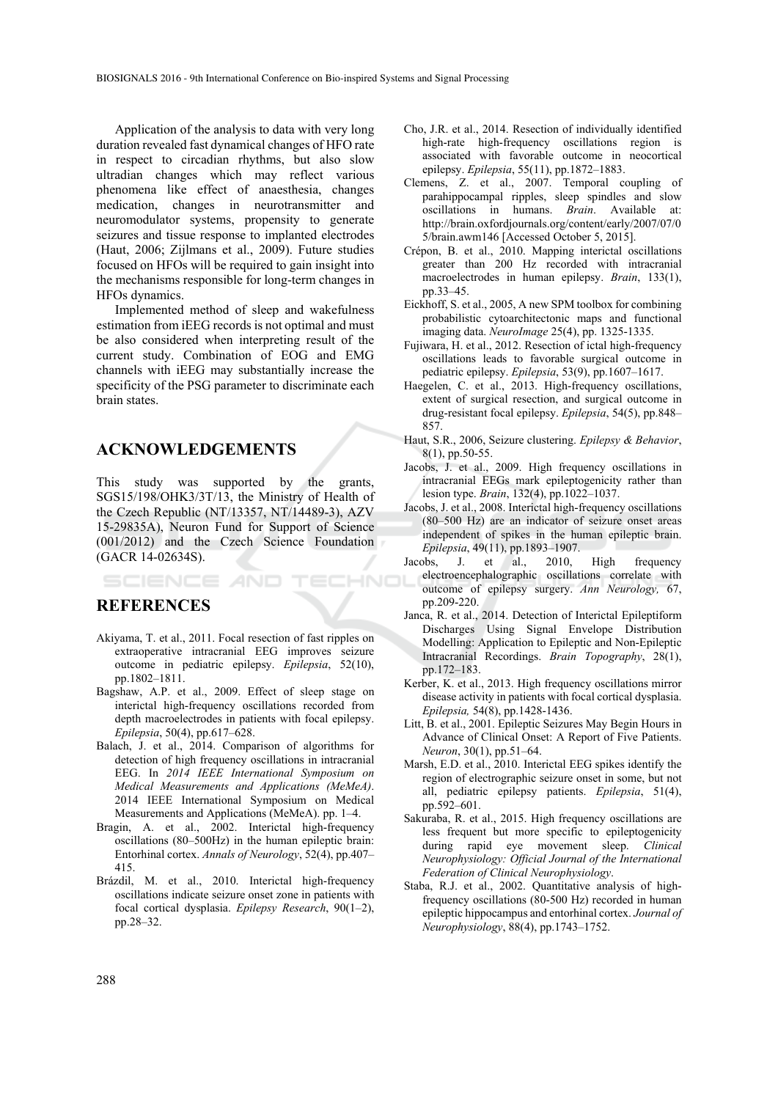Application of the analysis to data with very long duration revealed fast dynamical changes of HFO rate in respect to circadian rhythms, but also slow ultradian changes which may reflect various phenomena like effect of anaesthesia, changes medication, changes in neurotransmitter and neuromodulator systems, propensity to generate seizures and tissue response to implanted electrodes (Haut, 2006; Zijlmans et al., 2009). Future studies focused on HFOs will be required to gain insight into the mechanisms responsible for long-term changes in HFOs dynamics.

Implemented method of sleep and wakefulness estimation from iEEG records is not optimal and must be also considered when interpreting result of the current study. Combination of EOG and EMG channels with iEEG may substantially increase the specificity of the PSG parameter to discriminate each brain states.

#### **ACKNOWLEDGEMENTS**

This study was supported by the grants, SGS15/198/OHK3/3T/13, the Ministry of Health of the Czech Republic (NT/13357, NT/14489-3), AZV 15-29835A), Neuron Fund for Support of Science (001/2012) and the Czech Science Foundation (GACR 14-02634S).

#### TECHNO SCIENCE *A*ND

### **REFERENCES**

- Akiyama, T. et al., 2011. Focal resection of fast ripples on extraoperative intracranial EEG improves seizure outcome in pediatric epilepsy. *Epilepsia*, 52(10), pp.1802–1811.
- Bagshaw, A.P. et al., 2009. Effect of sleep stage on interictal high-frequency oscillations recorded from depth macroelectrodes in patients with focal epilepsy. *Epilepsia*, 50(4), pp.617–628.
- Balach, J. et al., 2014. Comparison of algorithms for detection of high frequency oscillations in intracranial EEG. In *2014 IEEE International Symposium on Medical Measurements and Applications (MeMeA)*. 2014 IEEE International Symposium on Medical Measurements and Applications (MeMeA). pp. 1–4.
- Bragin, A. et al., 2002. Interictal high-frequency oscillations (80–500Hz) in the human epileptic brain: Entorhinal cortex. *Annals of Neurology*, 52(4), pp.407– 415.
- Brázdil, M. et al., 2010. Interictal high-frequency oscillations indicate seizure onset zone in patients with focal cortical dysplasia. *Epilepsy Research*, 90(1–2), pp.28–32.
- Cho, J.R. et al., 2014. Resection of individually identified high-rate high-frequency oscillations region is associated with favorable outcome in neocortical epilepsy. *Epilepsia*, 55(11), pp.1872–1883.
- Clemens, Z. et al., 2007. Temporal coupling of parahippocampal ripples, sleep spindles and slow oscillations in humans. *Brain*. Available at: http://brain.oxfordjournals.org/content/early/2007/07/0 5/brain.awm146 [Accessed October 5, 2015].
- Crépon, B. et al., 2010. Mapping interictal oscillations greater than 200 Hz recorded with intracranial macroelectrodes in human epilepsy. *Brain*, 133(1), pp.33–45.
- Eickhoff, S. et al., 2005, A new SPM toolbox for combining probabilistic cytoarchitectonic maps and functional imaging data. *NeuroImage* 25(4), pp. 1325-1335.
- Fujiwara, H. et al., 2012. Resection of ictal high-frequency oscillations leads to favorable surgical outcome in pediatric epilepsy. *Epilepsia*, 53(9), pp.1607–1617.
- Haegelen, C. et al., 2013. High-frequency oscillations, extent of surgical resection, and surgical outcome in drug-resistant focal epilepsy. *Epilepsia*, 54(5), pp.848– 857.
- Haut, S.R., 2006, Seizure clustering. *Epilepsy & Behavior*, 8(1), pp.50-55.
- Jacobs, J. et al., 2009. High frequency oscillations in intracranial EEGs mark epileptogenicity rather than lesion type. *Brain*, 132(4), pp.1022–1037.
- Jacobs, J. et al., 2008. Interictal high-frequency oscillations (80–500 Hz) are an indicator of seizure onset areas independent of spikes in the human epileptic brain. *Epilepsia*, 49(11), pp.1893–1907.
- Jacobs, J. et al., 2010, High frequency electroencephalographic oscillations correlate with outcome of epilepsy surgery. *Ann Neurology,* 67, pp.209-220.
- Janca, R. et al., 2014. Detection of Interictal Epileptiform Discharges Using Signal Envelope Distribution Modelling: Application to Epileptic and Non-Epileptic Intracranial Recordings. *Brain Topography*, 28(1), pp.172–183.
- Kerber, K. et al., 2013. High frequency oscillations mirror disease activity in patients with focal cortical dysplasia. *Epilepsia,* 54(8), pp.1428-1436.
- Litt, B. et al., 2001. Epileptic Seizures May Begin Hours in Advance of Clinical Onset: A Report of Five Patients. *Neuron*, 30(1), pp.51–64.
- Marsh, E.D. et al., 2010. Interictal EEG spikes identify the region of electrographic seizure onset in some, but not all, pediatric epilepsy patients. *Epilepsia*, 51(4), pp.592–601.
- Sakuraba, R. et al., 2015. High frequency oscillations are less frequent but more specific to epileptogenicity during rapid eye movement sleep. *Clinical Neurophysiology: Official Journal of the International Federation of Clinical Neurophysiology*.
- Staba, R.J. et al., 2002. Quantitative analysis of highfrequency oscillations (80-500 Hz) recorded in human epileptic hippocampus and entorhinal cortex. *Journal of Neurophysiology*, 88(4), pp.1743–1752.